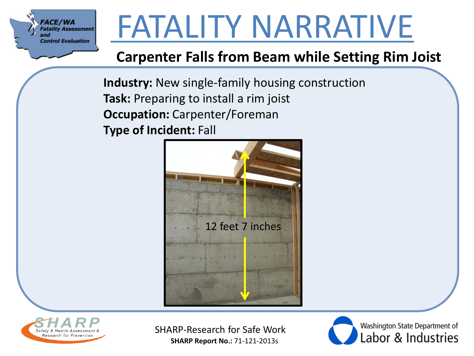

#### **Carpenter Falls from Beam while Setting Rim Joist**

**Industry:** New single-family housing construction **Task:** Preparing to install a rim joist **Occupation:** Carpenter/Foreman **Type of Incident:** Fall





SHARP-Research for Safe Work **SHARP Report No.:** 71-121-2013s

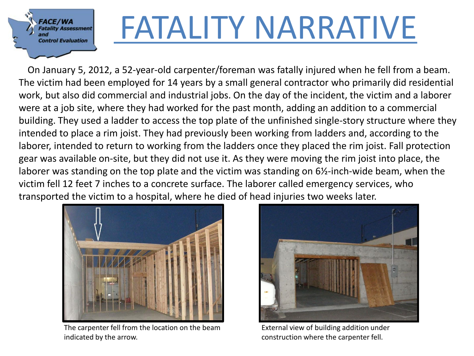

# $\sum_{\text{Fatality Assessment}\atop \text{Control Evaluation}}$   $\sum_{\text{Fatality Assessment}\atop \text{Control Evaluation}}$   $\sum_{\text{Fatality Association}}$   $\sum_{\text{Fatality Association}}$   $\sum_{\text{Couluation}}$   $\sum_{\text{Couluation}}$   $\sum_{\text{Couluation}}$   $\sum_{\text{Coulution}}$   $\sum_{\text{Coulution}}$   $\sum_{\text{Coulution}}$   $\sum_{\text{Coulution}}$   $\sum_{\text{Coulution}}$   $\sum_{\text{Coulution}}$   $\sum_{\text{Coulution}}$   $\sum_{\text{Coulution}}$   $\$

The victim had been employed for 14 years by a small general contractor who primarily did residential work, but also did commercial and industrial jobs. On the day of the incident, the victim and a laborer were at a job site, where they had worked for the past month, adding an addition to a commercial building. They used a ladder to access the top plate of the unfinished single-story structure where they intended to place a rim joist. They had previously been working from ladders and, according to the laborer, intended to return to working from the ladders once they placed the rim joist. Fall protection gear was available on-site, but they did not use it. As they were moving the rim joist into place, the laborer was standing on the top plate and the victim was standing on 6½-inch-wide beam, when the victim fell 12 feet 7 inches to a concrete surface. The laborer called emergency services, who transported the victim to a hospital, where he died of head injuries two weeks later.



The carpenter fell from the location on the beam indicated by the arrow.



External view of building addition under construction where the carpenter fell.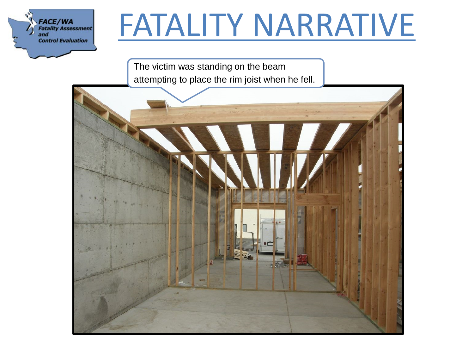

The victim was standing on the beam attempting to place the rim joist when he fell.

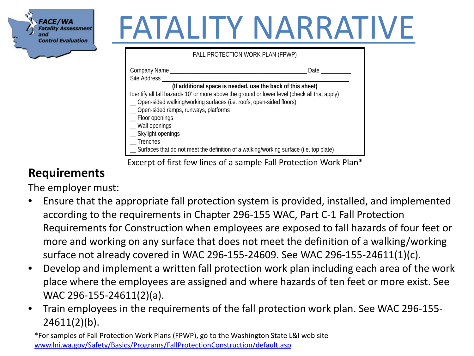

| FALL PROTECTION WORK PLAN (FPWP)                                                                                                                                       |      |
|------------------------------------------------------------------------------------------------------------------------------------------------------------------------|------|
| Company Name _____<br>Site Address                                                                                                                                     | Date |
| (If additional space is needed, use the back of this sheet)                                                                                                            |      |
| Identify all fall hazards 10' or more above the ground or lower level (check all that apply)<br>__ Open-sided walking/working surfaces (i.e. roofs, open-sided floors) |      |
| _ Open-sided ramps, runways, platforms                                                                                                                                 |      |
| _ Floor openings<br>_ Wall openings                                                                                                                                    |      |
| _ Skylight openings                                                                                                                                                    |      |
| Trenches<br>__ Surfaces that do not meet the definition of a walking/working surface (i.e. top plate)                                                                  |      |
|                                                                                                                                                                        |      |

Excerpt of first few lines of a sample Fall Protection Work Plan\*

#### **Requirements**

The employer must:

- Ensure that the appropriate fall protection system is provided, installed, and implemented according to the requirements in Chapter 296-155 WAC, Part C-1 Fall Protection Requirements for Construction when employees are exposed to fall hazards of four feet or more and working on any surface that does not meet the definition of a walking/working surface not already covered in WAC 296-155-24609. See WAC 296-155-24611(1)(c).
- Develop and implement a written fall protection work plan including each area of the work place where the employees are assigned and where hazards of ten feet or more exist. See WAC 296-155-24611(2)(a).
- Train employees in the requirements of the fall protection work plan. See WAC 296-155-  $24611(2)(b)$ .

\*For samples of Fall Protection Work Plans (FPWP), go to the Washington State L&I web site [www.lni.wa.gov/Safety/Basics/Programs/FallProtectionConstruction/default.asp](http://www.lni.wa.gov/Safety/Basics/Programs/FallProtectionConstruction/default.asp)